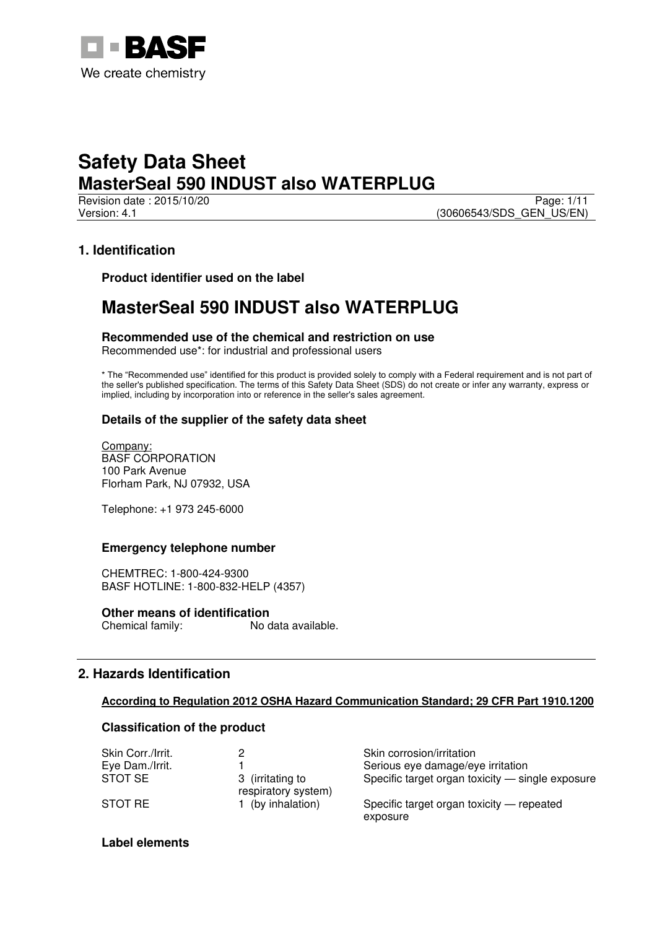

Revision date : 2015/10/20 Page: 1/11 Version: 4.1 (30606543/SDS\_GEN\_US/EN)

# **1. Identification**

**Product identifier used on the label** 

# **MasterSeal 590 INDUST also WATERPLUG**

**Recommended use of the chemical and restriction on use** 

Recommended use\*: for industrial and professional users

\* The "Recommended use" identified for this product is provided solely to comply with a Federal requirement and is not part of the seller's published specification. The terms of this Safety Data Sheet (SDS) do not create or infer any warranty, express or implied, including by incorporation into or reference in the seller's sales agreement.

# **Details of the supplier of the safety data sheet**

Company: BASF CORPORATION 100 Park Avenue Florham Park, NJ 07932, USA

Telephone: +1 973 245-6000

# **Emergency telephone number**

CHEMTREC: 1-800-424-9300 BASF HOTLINE: 1-800-832-HELP (4357)

**Other means of identification**<br>Chemical family: No c No data available.

# **2. Hazards Identification**

# **According to Regulation 2012 OSHA Hazard Communication Standard; 29 CFR Part 1910.1200**

# **Classification of the product**

| Skin Corr./Irrit. |                                         | Skin corrosion/irritation                             |
|-------------------|-----------------------------------------|-------------------------------------------------------|
| Eye Dam./Irrit.   |                                         | Serious eye damage/eye irritation                     |
| STOT SE           | 3 (irritating to<br>respiratory system) | Specific target organ toxicity — single exposure      |
| STOT RE           | (by inhalation)                         | Specific target organ toxicity — repeated<br>exposure |

# **Label elements**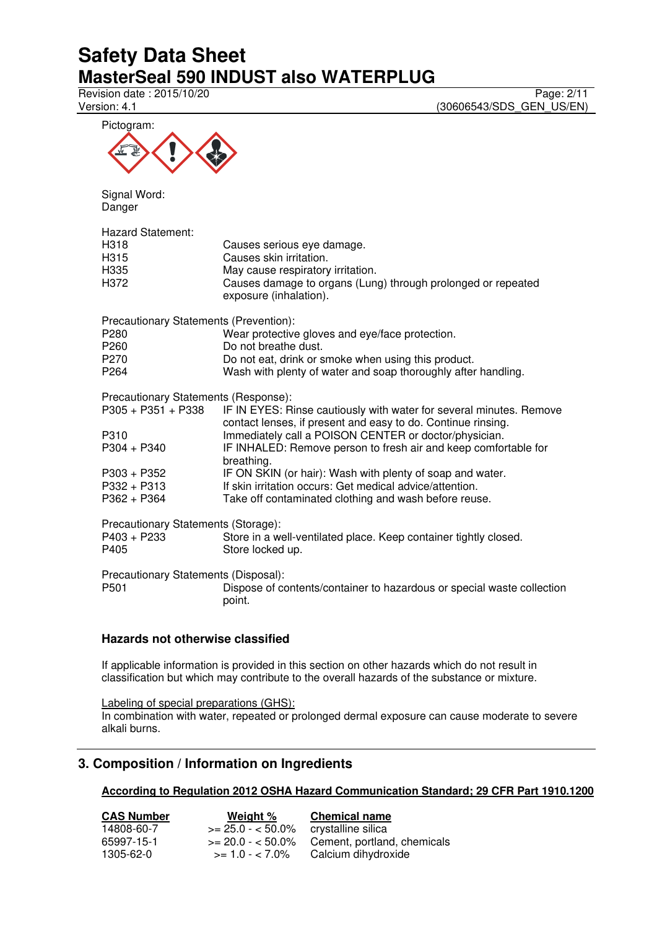Revision date : 2015/10/20 Page: 2/11<br>Version: 4.1 (30606543/SDS\_GEN\_US/EN) (30606543/SDS\_GEN\_US/EN)



Signal Word: Danger

| <b>Hazard Statement:</b><br>H <sub>3</sub> 18<br>H <sub>315</sub><br>H <sub>335</sub><br>H <sub>372</sub> | Causes serious eye damage.<br>Causes skin irritation.<br>May cause respiratory irritation.<br>Causes damage to organs (Lung) through prolonged or repeated<br>exposure (inhalation). |  |  |  |
|-----------------------------------------------------------------------------------------------------------|--------------------------------------------------------------------------------------------------------------------------------------------------------------------------------------|--|--|--|
| Precautionary Statements (Prevention):                                                                    |                                                                                                                                                                                      |  |  |  |
| P <sub>280</sub><br>P <sub>260</sub>                                                                      | Wear protective gloves and eye/face protection.<br>Do not breathe dust.                                                                                                              |  |  |  |
| P <sub>270</sub>                                                                                          | Do not eat, drink or smoke when using this product.                                                                                                                                  |  |  |  |
| P <sub>264</sub>                                                                                          | Wash with plenty of water and soap thoroughly after handling.                                                                                                                        |  |  |  |
| Precautionary Statements (Response):                                                                      |                                                                                                                                                                                      |  |  |  |
| P305 + P351 + P338                                                                                        | IF IN EYES: Rinse cautiously with water for several minutes. Remove<br>contact lenses, if present and easy to do. Continue rinsing.                                                  |  |  |  |
| P310                                                                                                      | Immediately call a POISON CENTER or doctor/physician.                                                                                                                                |  |  |  |
| $P304 + P340$                                                                                             | IF INHALED: Remove person to fresh air and keep comfortable for<br>breathing.                                                                                                        |  |  |  |
| $P303 + P352$                                                                                             | IF ON SKIN (or hair): Wash with plenty of soap and water.                                                                                                                            |  |  |  |
| $P332 + P313$                                                                                             | If skin irritation occurs: Get medical advice/attention.                                                                                                                             |  |  |  |
| $P362 + P364$                                                                                             | Take off contaminated clothing and wash before reuse.                                                                                                                                |  |  |  |
| Precautionary Statements (Storage):                                                                       |                                                                                                                                                                                      |  |  |  |
| $P403 + P233$                                                                                             | Store in a well-ventilated place. Keep container tightly closed.                                                                                                                     |  |  |  |
| P405                                                                                                      | Store locked up.                                                                                                                                                                     |  |  |  |
| Precautionary Statements (Disposal):<br>P <sub>501</sub>                                                  | Dispose of contents/container to hazardous or special waste collection<br>point.                                                                                                     |  |  |  |
|                                                                                                           |                                                                                                                                                                                      |  |  |  |

# **Hazards not otherwise classified**

If applicable information is provided in this section on other hazards which do not result in classification but which may contribute to the overall hazards of the substance or mixture.

Labeling of special preparations (GHS): In combination with water, repeated or prolonged dermal exposure can cause moderate to severe alkali burns.

# **3. Composition / Information on Ingredients**

**According to Regulation 2012 OSHA Hazard Communication Standard; 29 CFR Part 1910.1200** 

| <b>CAS Number</b> | Weight %           | <b>Chemical name</b>        |
|-------------------|--------------------|-----------------------------|
| 14808-60-7        | $>= 25.0 - 50.0\%$ | crystalline silica          |
| 65997-15-1        | $>= 20.0 - 50.0\%$ | Cement, portland, chemicals |
| 1305-62-0         | $>= 1.0 - < 7.0\%$ | Calcium dihydroxide         |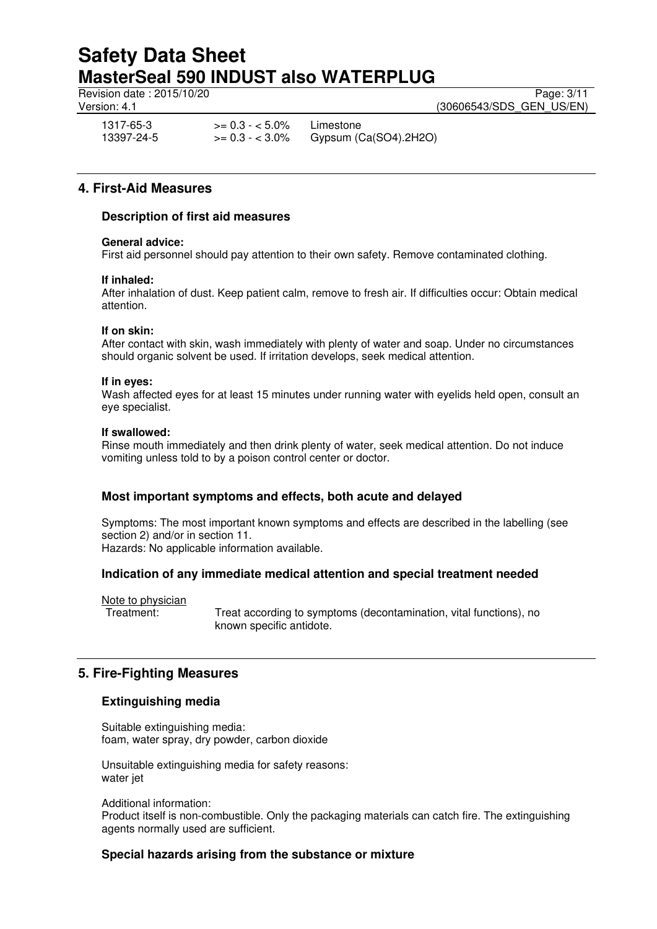Revision date : 2015/10/20 Page: 3/11

Version: 4.1 **(30606543/SDS\_GEN\_US/EN)** 

1317-65-3 >= 0.3 - < 5.0% Limestone<br>13397-24-5 >= 0.3 - < 3.0% Gypsum (0 Gypsum (Ca(SO4).2H2O)

**4. First-Aid Measures** 

# **Description of first aid measures**

## **General advice:**

First aid personnel should pay attention to their own safety. Remove contaminated clothing.

## **If inhaled:**

After inhalation of dust. Keep patient calm, remove to fresh air. If difficulties occur: Obtain medical attention.

## **If on skin:**

After contact with skin, wash immediately with plenty of water and soap. Under no circumstances should organic solvent be used. If irritation develops, seek medical attention.

### **If in eyes:**

Wash affected eyes for at least 15 minutes under running water with eyelids held open, consult an eye specialist.

## **If swallowed:**

Rinse mouth immediately and then drink plenty of water, seek medical attention. Do not induce vomiting unless told to by a poison control center or doctor.

# **Most important symptoms and effects, both acute and delayed**

Symptoms: The most important known symptoms and effects are described in the labelling (see section 2) and/or in section 11.

Hazards: No applicable information available.

# **Indication of any immediate medical attention and special treatment needed**

Note to physician

Treatment: Treat according to symptoms (decontamination, vital functions), no known specific antidote.

# **5. Fire-Fighting Measures**

# **Extinguishing media**

Suitable extinguishing media: foam, water spray, dry powder, carbon dioxide

Unsuitable extinguishing media for safety reasons: water jet

Additional information:

Product itself is non-combustible. Only the packaging materials can catch fire. The extinguishing agents normally used are sufficient.

# **Special hazards arising from the substance or mixture**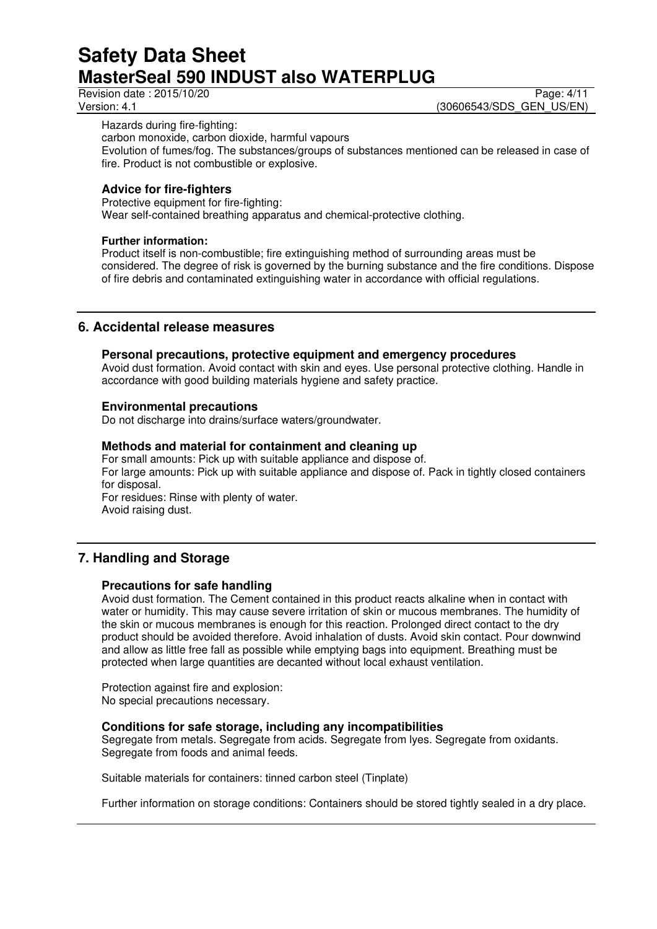Revision date : 2015/10/20 Page: 4/11<br>Version: 4.1 (30606543/SDS GEN US/EN) (30606543/SDS\_GEN\_US/EN)

Hazards during fire-fighting:

carbon monoxide, carbon dioxide, harmful vapours

Evolution of fumes/fog. The substances/groups of substances mentioned can be released in case of fire. Product is not combustible or explosive.

# **Advice for fire-fighters**

Protective equipment for fire-fighting: Wear self-contained breathing apparatus and chemical-protective clothing.

# **Further information:**

Product itself is non-combustible; fire extinguishing method of surrounding areas must be considered. The degree of risk is governed by the burning substance and the fire conditions. Dispose of fire debris and contaminated extinguishing water in accordance with official regulations.

# **6. Accidental release measures**

## **Personal precautions, protective equipment and emergency procedures**

Avoid dust formation. Avoid contact with skin and eyes. Use personal protective clothing. Handle in accordance with good building materials hygiene and safety practice.

## **Environmental precautions**

Do not discharge into drains/surface waters/groundwater.

## **Methods and material for containment and cleaning up**

For small amounts: Pick up with suitable appliance and dispose of. For large amounts: Pick up with suitable appliance and dispose of. Pack in tightly closed containers for disposal.

For residues: Rinse with plenty of water. Avoid raising dust.

# **7. Handling and Storage**

### **Precautions for safe handling**

Avoid dust formation. The Cement contained in this product reacts alkaline when in contact with water or humidity. This may cause severe irritation of skin or mucous membranes. The humidity of the skin or mucous membranes is enough for this reaction. Prolonged direct contact to the dry product should be avoided therefore. Avoid inhalation of dusts. Avoid skin contact. Pour downwind and allow as little free fall as possible while emptying bags into equipment. Breathing must be protected when large quantities are decanted without local exhaust ventilation.

Protection against fire and explosion: No special precautions necessary.

# **Conditions for safe storage, including any incompatibilities**

Segregate from metals. Segregate from acids. Segregate from lyes. Segregate from oxidants. Segregate from foods and animal feeds.

Suitable materials for containers: tinned carbon steel (Tinplate)

Further information on storage conditions: Containers should be stored tightly sealed in a dry place.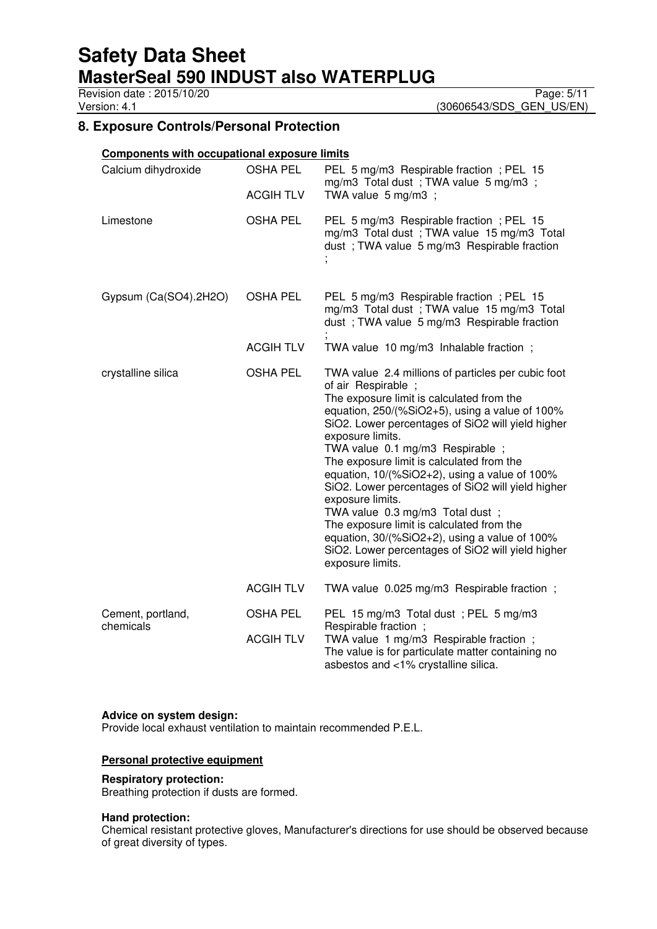Revision date : 2015/10/20 Page: 5/11<br>Version: 4.1 (30606543/SDS\_GEN\_US/EN)

(30606543/SDS\_GEN\_US/EN)

# **8. Exposure Controls/Personal Protection**

| <b>Components with occupational exposure limits</b> |                  |                                                                                                                                                                                                                                                                                                                                                                                                                                                                                                                                                                                                                                                                        |
|-----------------------------------------------------|------------------|------------------------------------------------------------------------------------------------------------------------------------------------------------------------------------------------------------------------------------------------------------------------------------------------------------------------------------------------------------------------------------------------------------------------------------------------------------------------------------------------------------------------------------------------------------------------------------------------------------------------------------------------------------------------|
| Calcium dihydroxide                                 | <b>OSHA PEL</b>  | PEL 5 mg/m3 Respirable fraction; PEL 15<br>mg/m3 Total dust; TWA value 5 mg/m3;                                                                                                                                                                                                                                                                                                                                                                                                                                                                                                                                                                                        |
|                                                     | <b>ACGIH TLV</b> | TWA value 5 mg/m3 ;                                                                                                                                                                                                                                                                                                                                                                                                                                                                                                                                                                                                                                                    |
| Limestone                                           | <b>OSHA PEL</b>  | PEL 5 mg/m3 Respirable fraction; PEL 15<br>mg/m3 Total dust; TWA value 15 mg/m3 Total<br>dust; TWA value 5 mg/m3 Respirable fraction                                                                                                                                                                                                                                                                                                                                                                                                                                                                                                                                   |
| Gypsum (Ca(SO4).2H2O)                               | <b>OSHA PEL</b>  | PEL 5 mg/m3 Respirable fraction; PEL 15<br>mg/m3 Total dust; TWA value 15 mg/m3 Total<br>dust; TWA value 5 mg/m3 Respirable fraction                                                                                                                                                                                                                                                                                                                                                                                                                                                                                                                                   |
|                                                     | <b>ACGIH TLV</b> | TWA value 10 mg/m3 Inhalable fraction;                                                                                                                                                                                                                                                                                                                                                                                                                                                                                                                                                                                                                                 |
| crystalline silica                                  | <b>OSHA PEL</b>  | TWA value 2.4 millions of particles per cubic foot<br>of air Respirable;<br>The exposure limit is calculated from the<br>equation, 250/(%SiO2+5), using a value of 100%<br>SiO2. Lower percentages of SiO2 will yield higher<br>exposure limits.<br>TWA value 0.1 mg/m3 Respirable ;<br>The exposure limit is calculated from the<br>equation, 10/(%SiO2+2), using a value of 100%<br>SiO2. Lower percentages of SiO2 will yield higher<br>exposure limits.<br>TWA value 0.3 mg/m3 Total dust ;<br>The exposure limit is calculated from the<br>equation, 30/(%SiO2+2), using a value of 100%<br>SiO2. Lower percentages of SiO2 will yield higher<br>exposure limits. |
|                                                     | <b>ACGIH TLV</b> | TWA value 0.025 mg/m3 Respirable fraction;                                                                                                                                                                                                                                                                                                                                                                                                                                                                                                                                                                                                                             |
| Cement, portland,<br>chemicals                      | <b>OSHA PEL</b>  | PEL 15 mg/m3 Total dust; PEL 5 mg/m3                                                                                                                                                                                                                                                                                                                                                                                                                                                                                                                                                                                                                                   |
|                                                     | <b>ACGIH TLV</b> | Respirable fraction;<br>TWA value 1 mg/m3 Respirable fraction;<br>The value is for particulate matter containing no<br>asbestos and <1% crystalline silica.                                                                                                                                                                                                                                                                                                                                                                                                                                                                                                            |

#### **Advice on system design:**

Provide local exhaust ventilation to maintain recommended P.E.L.

## **Personal protective equipment**

### **Respiratory protection:**

Breathing protection if dusts are formed.

#### **Hand protection:**

Chemical resistant protective gloves, Manufacturer's directions for use should be observed because of great diversity of types.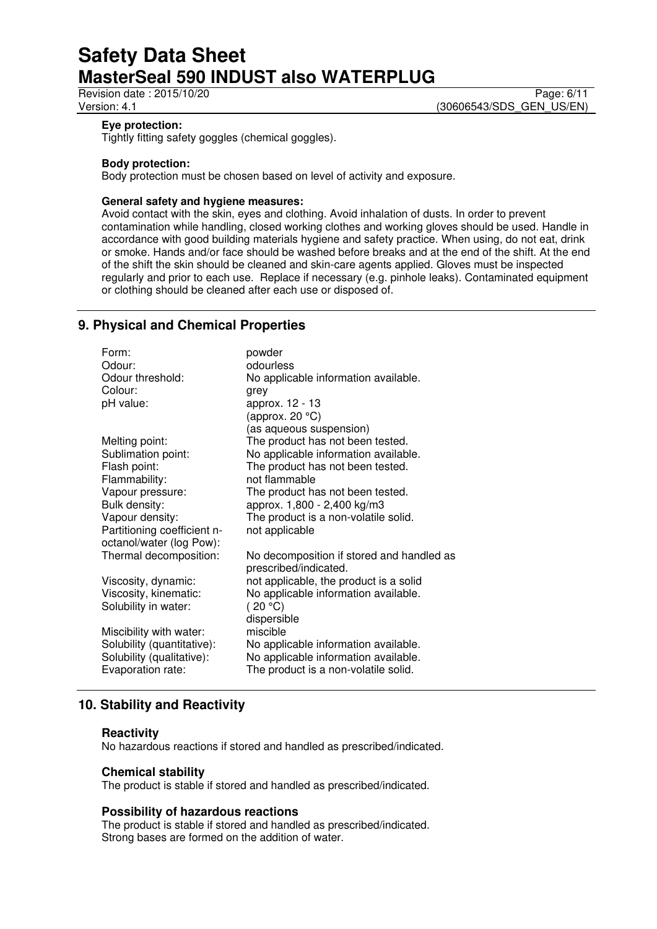Revision date : 2015/10/20 Page: 6/11<br>
Version: 4.1 (30606543/SDS GEN US/EN) (30606543/SDS\_GEN\_US/EN)

## **Eye protection:**

Tightly fitting safety goggles (chemical goggles).

## **Body protection:**

Body protection must be chosen based on level of activity and exposure.

## **General safety and hygiene measures:**

Avoid contact with the skin, eyes and clothing. Avoid inhalation of dusts. In order to prevent contamination while handling, closed working clothes and working gloves should be used. Handle in accordance with good building materials hygiene and safety practice. When using, do not eat, drink or smoke. Hands and/or face should be washed before breaks and at the end of the shift. At the end of the shift the skin should be cleaned and skin-care agents applied. Gloves must be inspected regularly and prior to each use. Replace if necessary (e.g. pinhole leaks). Contaminated equipment or clothing should be cleaned after each use or disposed of.

# **9. Physical and Chemical Properties**

| Form:                       | powder                                                             |
|-----------------------------|--------------------------------------------------------------------|
| Odour:                      | odourless                                                          |
| Odour threshold:            | No applicable information available.                               |
| Colour:                     | grey                                                               |
| pH value:                   | approx. 12 - 13                                                    |
|                             | (approx. 20 $^{\circ}$ C)                                          |
|                             | (as aqueous suspension)                                            |
| Melting point:              | The product has not been tested.                                   |
| Sublimation point:          | No applicable information available.                               |
| Flash point:                | The product has not been tested.                                   |
| Flammability:               | not flammable                                                      |
| Vapour pressure:            | The product has not been tested.                                   |
| Bulk density:               | approx. 1,800 - 2,400 kg/m3                                        |
| Vapour density:             | The product is a non-volatile solid.                               |
| Partitioning coefficient n- | not applicable                                                     |
| octanol/water (log Pow):    |                                                                    |
| Thermal decomposition:      | No decomposition if stored and handled as<br>prescribed/indicated. |
| Viscosity, dynamic:         | not applicable, the product is a solid                             |
| Viscosity, kinematic:       | No applicable information available.                               |
| Solubility in water:        | (20 °C)                                                            |
|                             | dispersible                                                        |
| Miscibility with water:     | miscible                                                           |
| Solubility (quantitative):  | No applicable information available.                               |
| Solubility (qualitative):   | No applicable information available.                               |
| Evaporation rate:           | The product is a non-volatile solid.                               |
|                             |                                                                    |

# **10. Stability and Reactivity**

#### **Reactivity**

No hazardous reactions if stored and handled as prescribed/indicated.

#### **Chemical stability**

The product is stable if stored and handled as prescribed/indicated.

# **Possibility of hazardous reactions**

The product is stable if stored and handled as prescribed/indicated. Strong bases are formed on the addition of water.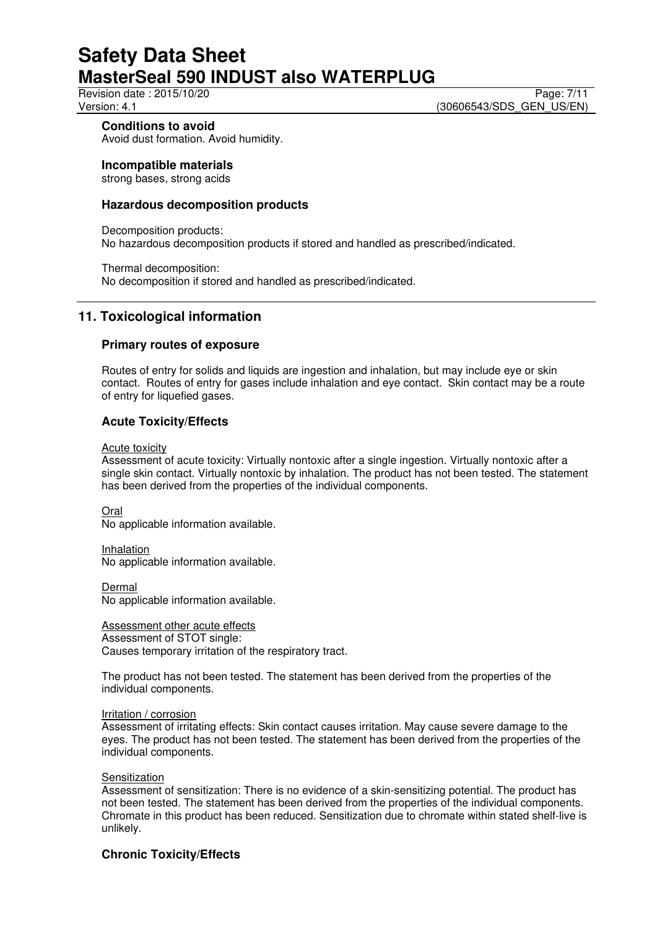Revision date : 2015/10/20 Page: 7/11<br>Version: 4.1 **Page: 7/11** Version: 4.1 (30606543/SDS\_GEN\_US/EN)

# **Conditions to avoid**

Avoid dust formation. Avoid humidity.

**Incompatible materials** 

strong bases, strong acids

## **Hazardous decomposition products**

Decomposition products: No hazardous decomposition products if stored and handled as prescribed/indicated.

Thermal decomposition: No decomposition if stored and handled as prescribed/indicated.

# **11. Toxicological information**

## **Primary routes of exposure**

Routes of entry for solids and liquids are ingestion and inhalation, but may include eye or skin contact. Routes of entry for gases include inhalation and eye contact. Skin contact may be a route of entry for liquefied gases.

## **Acute Toxicity/Effects**

Acute toxicity

Assessment of acute toxicity: Virtually nontoxic after a single ingestion. Virtually nontoxic after a single skin contact. Virtually nontoxic by inhalation. The product has not been tested. The statement has been derived from the properties of the individual components.

Oral No applicable information available.

Inhalation No applicable information available.

Dermal No applicable information available.

Assessment other acute effects Assessment of STOT single: Causes temporary irritation of the respiratory tract.

The product has not been tested. The statement has been derived from the properties of the individual components.

#### Irritation / corrosion

Assessment of irritating effects: Skin contact causes irritation. May cause severe damage to the eyes. The product has not been tested. The statement has been derived from the properties of the individual components.

### **Sensitization**

Assessment of sensitization: There is no evidence of a skin-sensitizing potential. The product has not been tested. The statement has been derived from the properties of the individual components. Chromate in this product has been reduced. Sensitization due to chromate within stated shelf-live is unlikely.

# **Chronic Toxicity/Effects**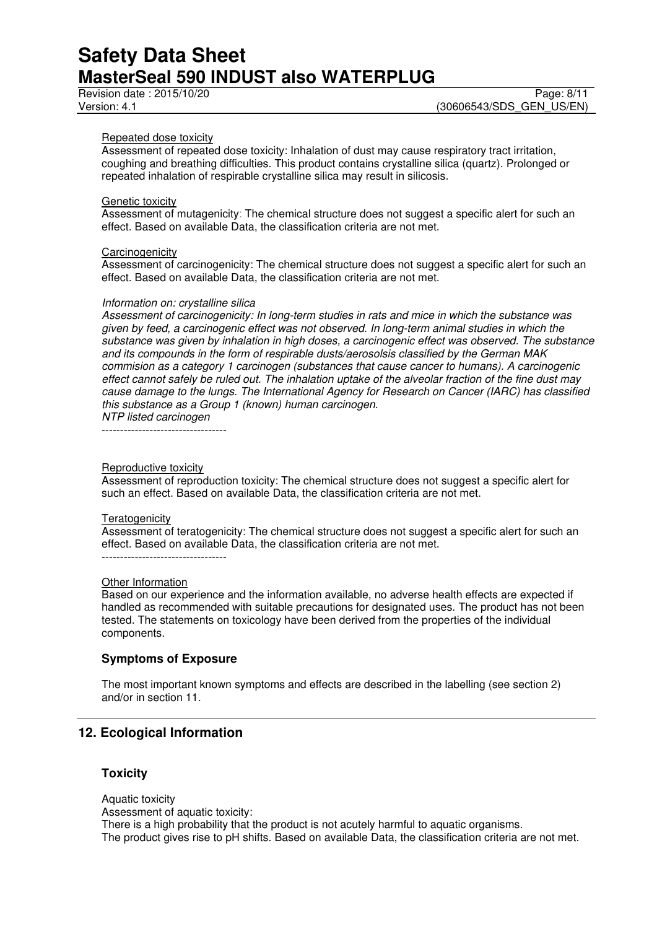## Repeated dose toxicity

Assessment of repeated dose toxicity: Inhalation of dust may cause respiratory tract irritation, coughing and breathing difficulties. This product contains crystalline silica (quartz). Prolonged or repeated inhalation of respirable crystalline silica may result in silicosis.

#### Genetic toxicity

Assessment of mutagenicity: The chemical structure does not suggest a specific alert for such an effect. Based on available Data, the classification criteria are not met.

#### **Carcinogenicity**

Assessment of carcinogenicity: The chemical structure does not suggest a specific alert for such an effect. Based on available Data, the classification criteria are not met.

#### *Information on: crystalline silica*

*Assessment of carcinogenicity: In long-term studies in rats and mice in which the substance was given by feed, a carcinogenic effect was not observed. In long-term animal studies in which the substance was given by inhalation in high doses, a carcinogenic effect was observed. The substance and its compounds in the form of respirable dusts/aerosolsis classified by the German MAK commision as a category 1 carcinogen (substances that cause cancer to humans). A carcinogenic effect cannot safely be ruled out. The inhalation uptake of the alveolar fraction of the fine dust may cause damage to the lungs. The International Agency for Research on Cancer (IARC) has classified this substance as a Group 1 (known) human carcinogen. NTP listed carcinogen* 

----------------------------------

#### Reproductive toxicity

Assessment of reproduction toxicity: The chemical structure does not suggest a specific alert for such an effect. Based on available Data, the classification criteria are not met.

#### **Teratogenicity**

Assessment of teratogenicity: The chemical structure does not suggest a specific alert for such an effect. Based on available Data, the classification criteria are not met.

----------------------------------

#### Other Information

Based on our experience and the information available, no adverse health effects are expected if handled as recommended with suitable precautions for designated uses. The product has not been tested. The statements on toxicology have been derived from the properties of the individual components.

### **Symptoms of Exposure**

The most important known symptoms and effects are described in the labelling (see section 2) and/or in section 11.

# **12. Ecological Information**

#### **Toxicity**

Aquatic toxicity Assessment of aquatic toxicity: There is a high probability that the product is not acutely harmful to aquatic organisms. The product gives rise to pH shifts. Based on available Data, the classification criteria are not met.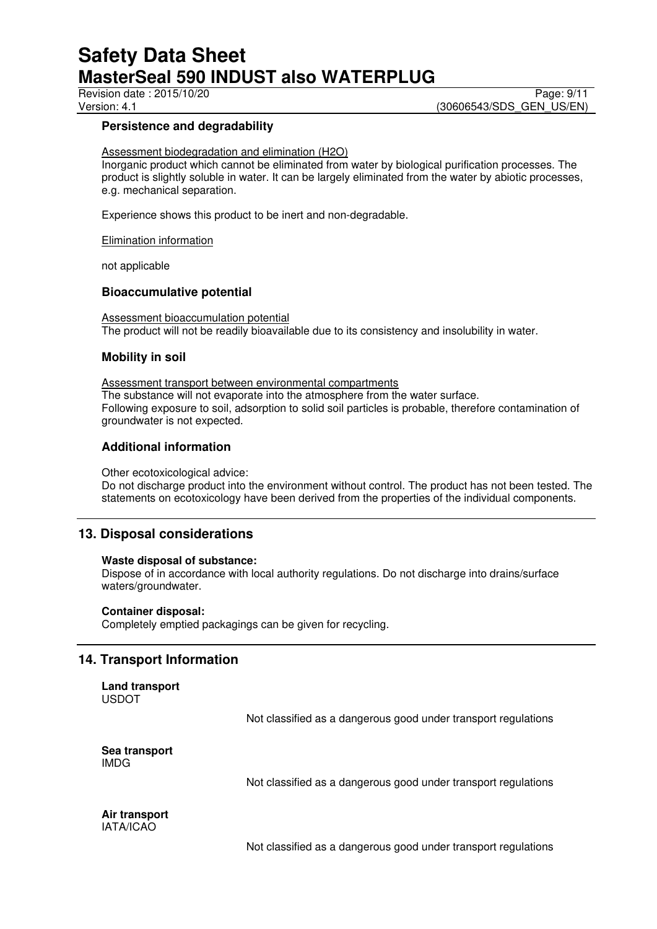Revision date : 2015/10/20

# Version: 4.1 **(30606543/SDS\_GEN\_US/EN)**

## **Persistence and degradability**

Assessment biodegradation and elimination (H2O)

Inorganic product which cannot be eliminated from water by biological purification processes. The product is slightly soluble in water. It can be largely eliminated from the water by abiotic processes, e.g. mechanical separation.

Experience shows this product to be inert and non-degradable.

Elimination information

not applicable

## **Bioaccumulative potential**

Assessment bioaccumulation potential The product will not be readily bioavailable due to its consistency and insolubility in water.

## **Mobility in soil**

Assessment transport between environmental compartments The substance will not evaporate into the atmosphere from the water surface. Following exposure to soil, adsorption to solid soil particles is probable, therefore contamination of groundwater is not expected.

## **Additional information**

Other ecotoxicological advice:

Do not discharge product into the environment without control. The product has not been tested. The statements on ecotoxicology have been derived from the properties of the individual components.

# **13. Disposal considerations**

#### **Waste disposal of substance:**

Dispose of in accordance with local authority regulations. Do not discharge into drains/surface waters/groundwater.

#### **Container disposal:**

Completely emptied packagings can be given for recycling.

# **14. Transport Information**

**Land transport**  USDOT

Not classified as a dangerous good under transport regulations

**Sea transport**  IMDG

Not classified as a dangerous good under transport regulations

**Air transport**  IATA/ICAO

Not classified as a dangerous good under transport regulations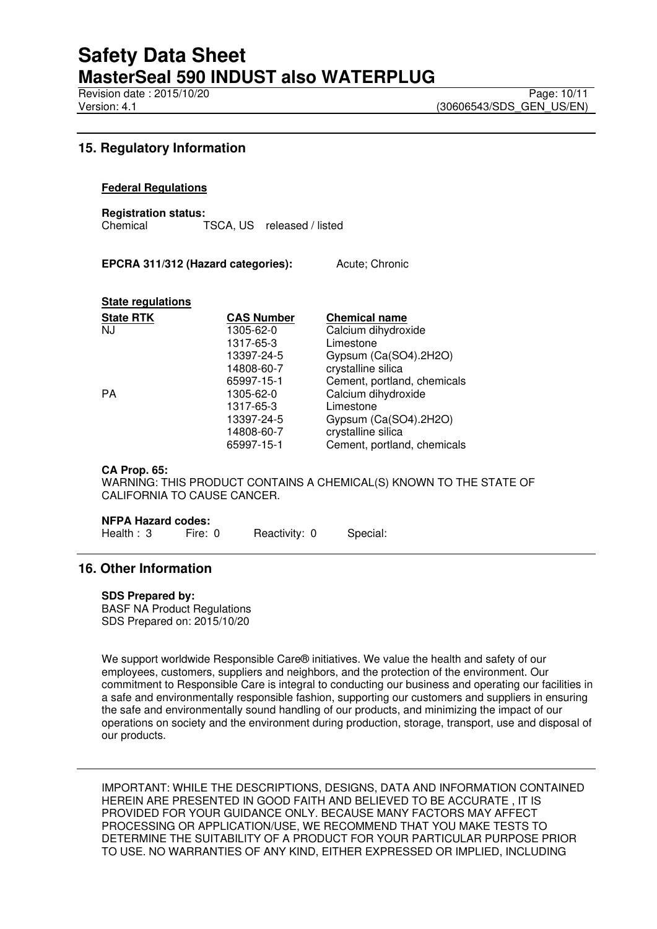Revision date : 2015/10/20 Page: 10/11<br>Version: 4.1 **Page: 10/11** Version: 4.1

# **15. Regulatory Information**

# **Federal Regulations**

**Registration status:**  Chemical TSCA, US released / listed

**EPCRA 311/312 (Hazard categories):** Acute; Chronic

#### **State regulations**

| <b>State RTK</b> | <b>CAS Number</b> | <b>Chemical name</b>        |
|------------------|-------------------|-----------------------------|
| <b>NJ</b>        | 1305-62-0         | Calcium dihydroxide         |
|                  | 1317-65-3         | Limestone                   |
|                  | 13397-24-5        | Gypsum (Ca(SO4).2H2O)       |
|                  | 14808-60-7        | crystalline silica          |
|                  | 65997-15-1        | Cement, portland, chemicals |
| <b>PA</b>        | 1305-62-0         | Calcium dihydroxide         |
|                  | 1317-65-3         | Limestone                   |
|                  | 13397-24-5        | Gypsum (Ca(SO4).2H2O)       |
|                  | 14808-60-7        | crystalline silica          |
|                  | 65997-15-1        | Cement, portland, chemicals |

#### **CA Prop. 65:**

WARNING: THIS PRODUCT CONTAINS A CHEMICAL(S) KNOWN TO THE STATE OF CALIFORNIA TO CAUSE CANCER.

#### **NFPA Hazard codes:**

Health : 3 Fire: 0 Reactivity: 0 Special:

# **16. Other Information**

#### **SDS Prepared by:**

BASF NA Product Regulations SDS Prepared on: 2015/10/20

We support worldwide Responsible Care® initiatives. We value the health and safety of our employees, customers, suppliers and neighbors, and the protection of the environment. Our commitment to Responsible Care is integral to conducting our business and operating our facilities in a safe and environmentally responsible fashion, supporting our customers and suppliers in ensuring the safe and environmentally sound handling of our products, and minimizing the impact of our operations on society and the environment during production, storage, transport, use and disposal of our products.

IMPORTANT: WHILE THE DESCRIPTIONS, DESIGNS, DATA AND INFORMATION CONTAINED HEREIN ARE PRESENTED IN GOOD FAITH AND BELIEVED TO BE ACCURATE , IT IS PROVIDED FOR YOUR GUIDANCE ONLY. BECAUSE MANY FACTORS MAY AFFECT PROCESSING OR APPLICATION/USE, WE RECOMMEND THAT YOU MAKE TESTS TO DETERMINE THE SUITABILITY OF A PRODUCT FOR YOUR PARTICULAR PURPOSE PRIOR TO USE. NO WARRANTIES OF ANY KIND, EITHER EXPRESSED OR IMPLIED, INCLUDING